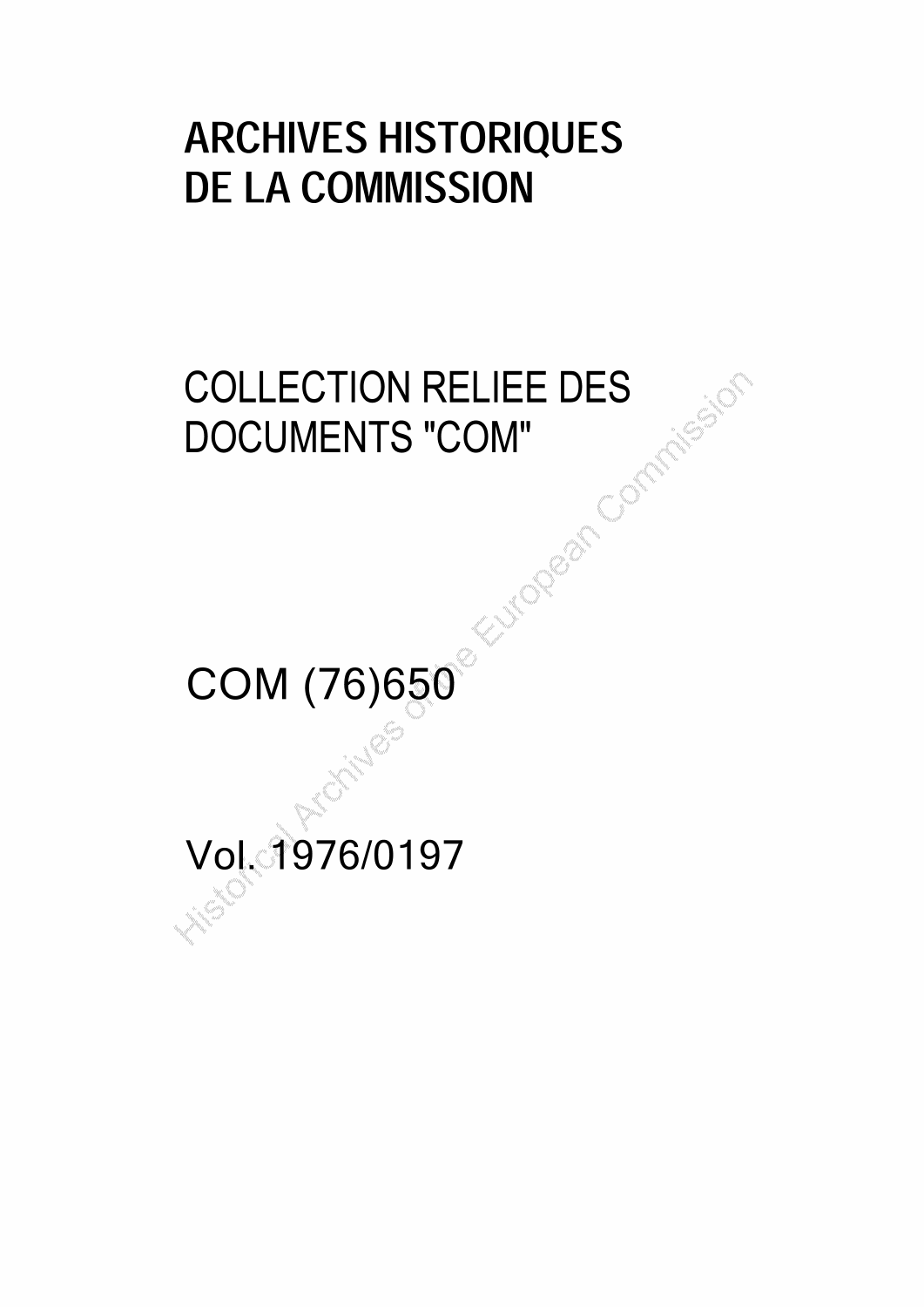# ARCHIVES HISTORIQUES DE LA COMMISSION

# COLLECTION RELIEE DES<br>DOCUMENTS "COM"<br>COLLECTION RELIEE DES DOCUMENTS "COM"

COM (76) 650

Vol. 1976/0197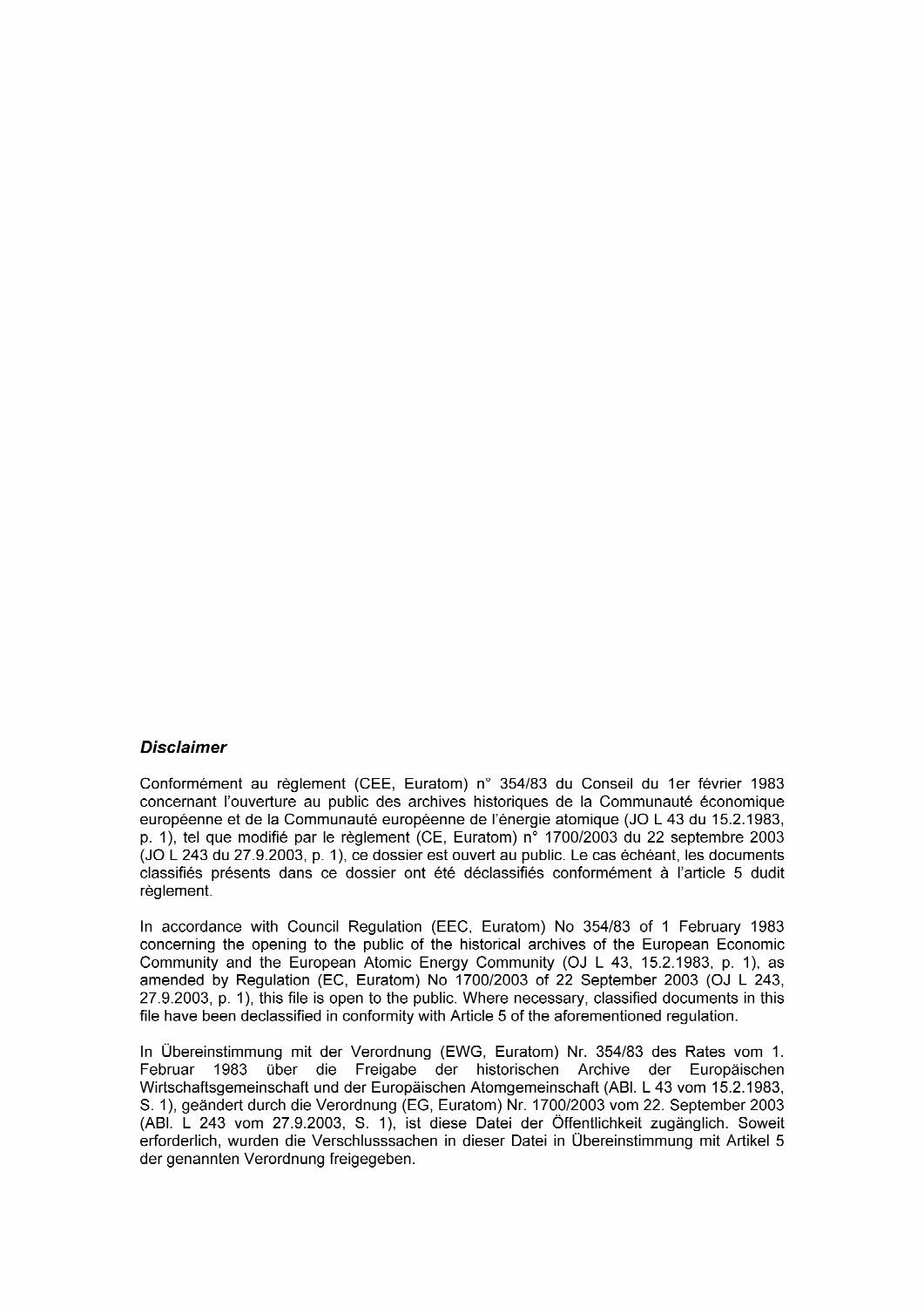#### **Disclaimer**

Conformément au règlement (CEE, Euratom) n° 354/83 du Conseil du 1er février 1983 concernant l'ouverture au public des archives historiques de la Communauté économique européenne et de la Communauté européenne de l'énergie atomique (JO <sup>L</sup> 43 du 15.2.1983, p. 1), tel que modifié par le règlement (CE, Euratom) n° 1700/2003 du 22 septembre 2003 (JO <sup>L</sup> 243 du 27.9.2003, p. 1), ce dossier est ouvert au public. Le cas échéant, les documents classifiés présents dans ce dossier ont été déclassifiés conformément à l'article 5 dudit règlement.

In accordance with Council Regulation (EEC, Euratom) No 354/83 of <sup>1</sup> February 1983 concerning the opening to the public of the historical archives of the European Economic Community and the European Atomic Energy Community (OJ <sup>L</sup> 43, 15.2.1983, p. 1), as amended by Regulation (EC, Euratom) No 1700/2003 of 22 September 2003 (OJ <sup>L</sup> 243, 27.9.2003, p. 1), this file is open to the public. Where necessary, classified documents in this file have been declassified in conformity with Article 5 of the aforementioned regulation.

In Übereinstimmung mit der Verordnung (EWG, Euratom) Nr. 354/83 des Rates vom 1. Februar 1983 über die Freigabe der historischen Archive der Europäischen Wirtschaftsgemeinschaft und der Europäischen Atomgemeinschaft (ABI. <sup>L</sup> 43 vom 15.2.1983, S. 1), geändert durch die Verordnung (EG, Euratom) Nr. 1700/2003 vom 22. September 2003 (ABI. <sup>L</sup> 243 vom 27.9.2003, S. 1), ist diese Datei der Öffentlichkeit zugänglich. Soweit erforderlich, wurden die Verschlusssachen in dieser Datei in Übereinstimmung mit Artikel 5 der genannten Verordnung freigegeben.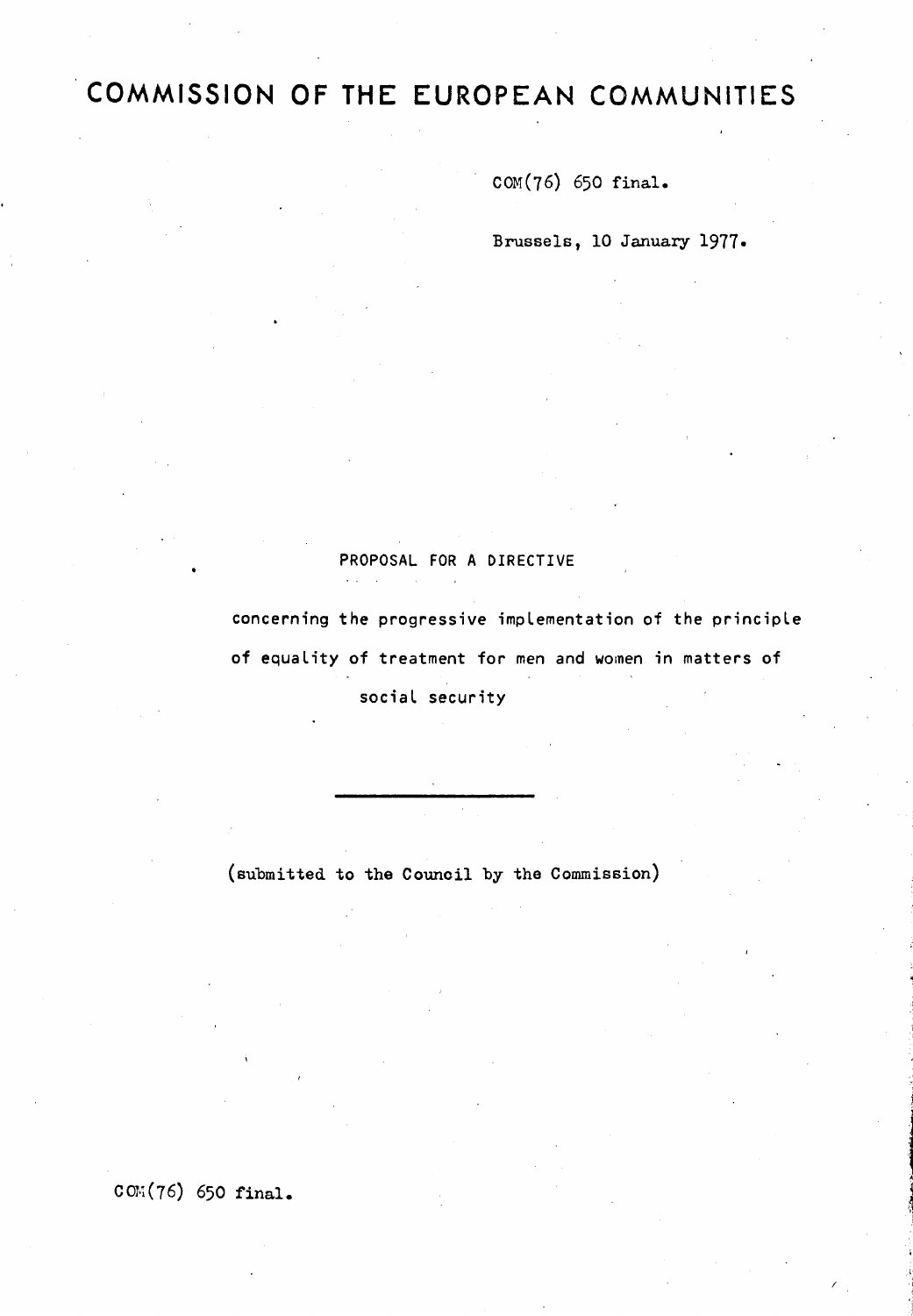## COMMISSION OF THE EUROPEAN COMMUNITIES

 $COM(76)$  650 final.

Brussels. 10 January 1977 »

#### PROPOSAL FOR <sup>A</sup> DIRECTIVE

concerning the progressive implementation of the principle of equality of treatment for men and women in matters of social security

(submitted to the Council by the Commission)

 $COM(76)$  650 final.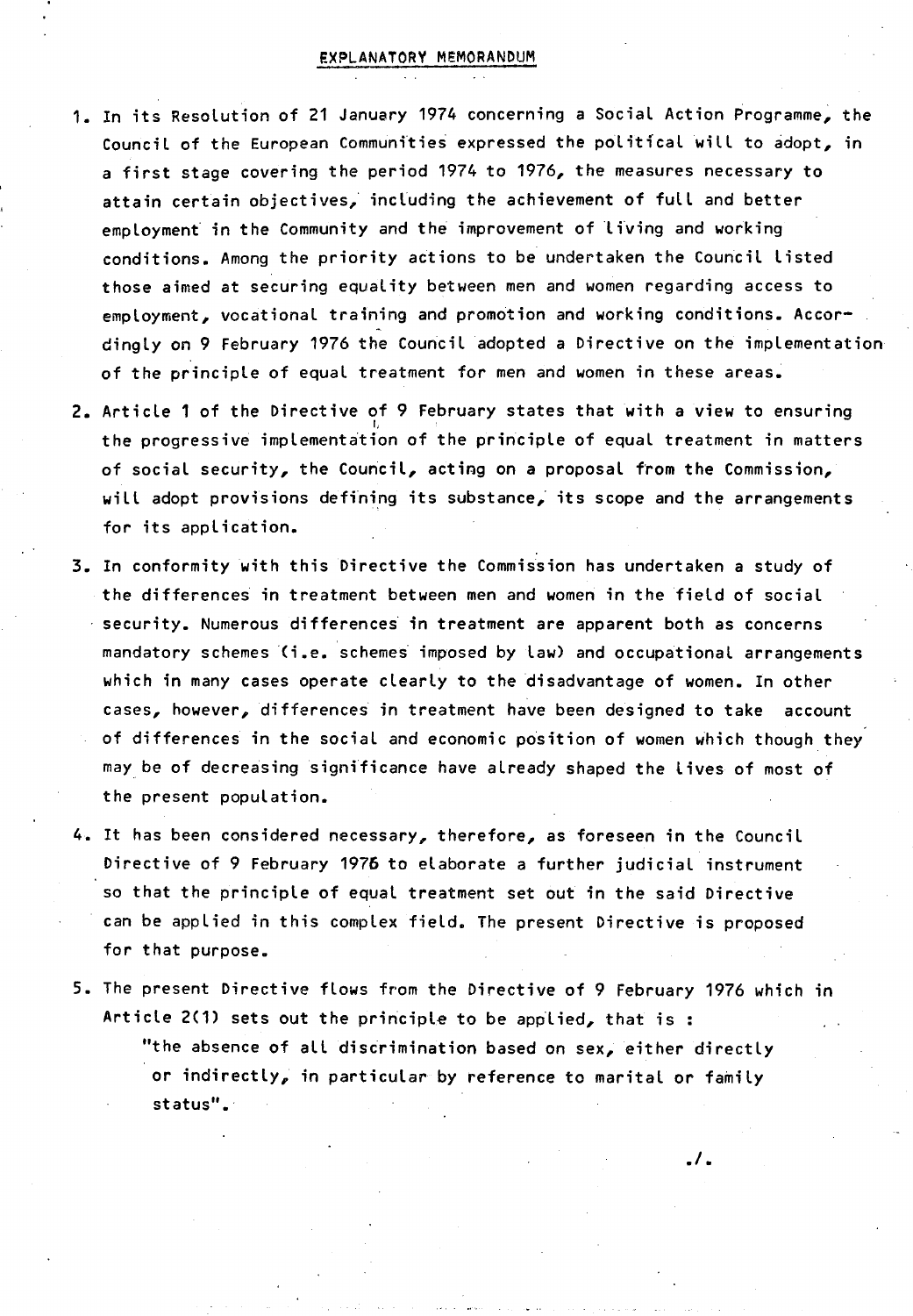#### EXPLANATORY MEMORANDUM

- In its Resolution of <sup>21</sup> January <sup>1974</sup> concerning <sup>a</sup> Social Action Programme, the Council of the European Communities expressed the political will to adopt, in <sup>a</sup> first stage covering the period <sup>1974</sup> to 1976, the measures necessary to attain certain objectives, including the achievement of full and better employment in the Community and the improvement of living and working conditions . Among the priority actions to be undertaken the Council listed those aimed at securing equality between men and women regarding access to employment, vocational training and promotion and working conditions. Accordingly on <sup>9</sup> February 1976 the Council adopted <sup>a</sup> Directive on the implementation of the principle of equal treatment for men and women in these areas .
- Article <sup>1</sup> of the Directive of <sup>9</sup> February states that with <sup>a</sup> view to ensuring the progressive implementation of the principle of equal treatment in matters of social security, the Council, acting on a proposal from the Commission, will adopt provisions defining its substance, its scope and the arrangements for its application.
- In conformity with this Directive the Commission has undertaken <sup>a</sup> study of the differences in treatment between men and women in the field of social  $\cdot$  security. Numerous differences in treatment are apparent both as concerns mandatory schemes ( i.e. schemes imposed by law) and occupational arrangements which in many cases operate clearly to the disadvantage of women. In other cases, however, differences in treatment have been designed to take account of differences in the social and economic position of women which though they may be of decreasing significance have already shaped the lives of most of the present population.
- 4. It has been considered necessary, therefore, as foreseen in the Council Directive of <sup>9</sup> February <sup>1976</sup> to elaborate <sup>a</sup> further judicial instrument so that the principle of equal treatment set out in the said Directive can be applied in this complex field. The present Directive is proposed for that purpose .
- 5. The present Directive flows from the Directive of 9 February 1976 which in Article 2(1) sets out the principle to be applied, that is: "the absence of all discrimination based on sex, either directly or indirectly, in particular by reference to marital or family status".

. ١.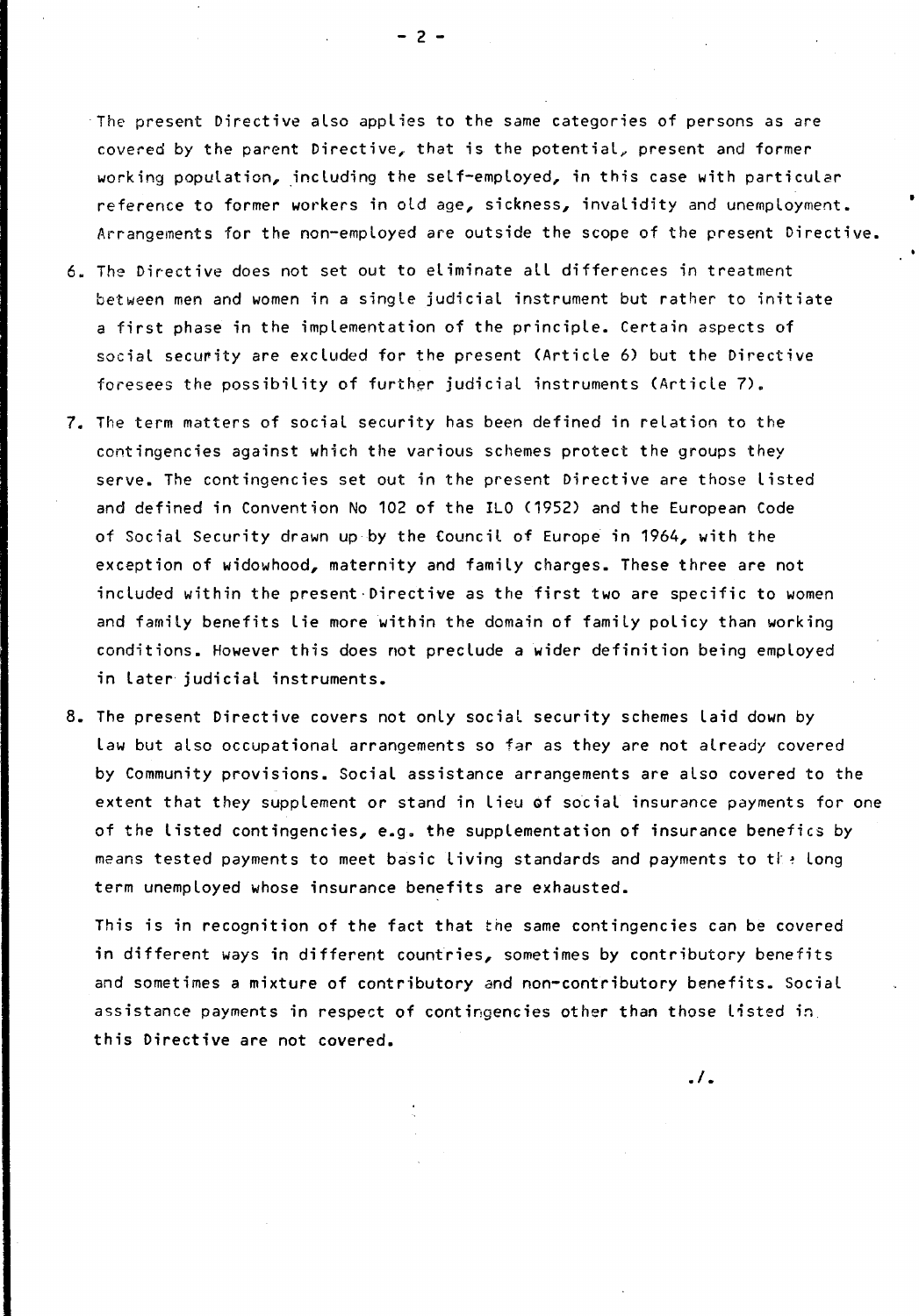The present Directive also applies to the same categories of persons as are covered by the parent Directive, that is the potential, present and former working population, including the self-employed, in this case with particular reference to former workers in old age, sickness, invalidity and unemployment. Arrangements for the non-employed are outside the scope of the present Directive .

- <sup>6</sup> . The Directive does not set out to eliminate all differences in treatment between men and women in <sup>a</sup> single judicial instrument but rather to initiate <sup>a</sup> first phase in the implementation of the principle . Certain aspects of social security are excluded for the present (Article 6) but the Directive foresees the possibility of further judicial instruments (Article 7).
- <sup>7</sup> . The term matters of social security has been defined in relation to the contingencies against which the various schemes protect the groups they serve. The contingencies set out in the present Directive are those listed and defined in Convention No 102 of the IL0 ( 1952 ) and the European Code of Social Security drawn up by the Council of Europe in 1964, with the exception of widowhood, maternity and family charges. These three are not included within the present Directive as the first two are specific to women and family benefits lie more within the domain of family policy than working conditions. However this does not preclude a wider definition being employed in later judicial instruments.
- <sup>8</sup> . The present Directive covers not only social security schemes laid down by law but also occupational arrangements so far as they are not already covered by Community provisions. Social assistance arrangements are also covered to the extent that they supplement or stand in lieu of social insurance payments for one of the listed contingencies, e.g. the supplementation of insurance benefics by means tested payments to meet basic living standards and payments to the long term unemployed whose insurance benefits are exhausted .

This is in recognition of the fact that the same contingencies can be covered in different ways in different countries, sometimes by contributory benefits and sometimes <sup>a</sup> mixture of contributory and non-contributory benefits. Social assistance payments in respect of contingencies other than those listed in this Directive are not covered.

 $.1.$ 

- <sup>2</sup> -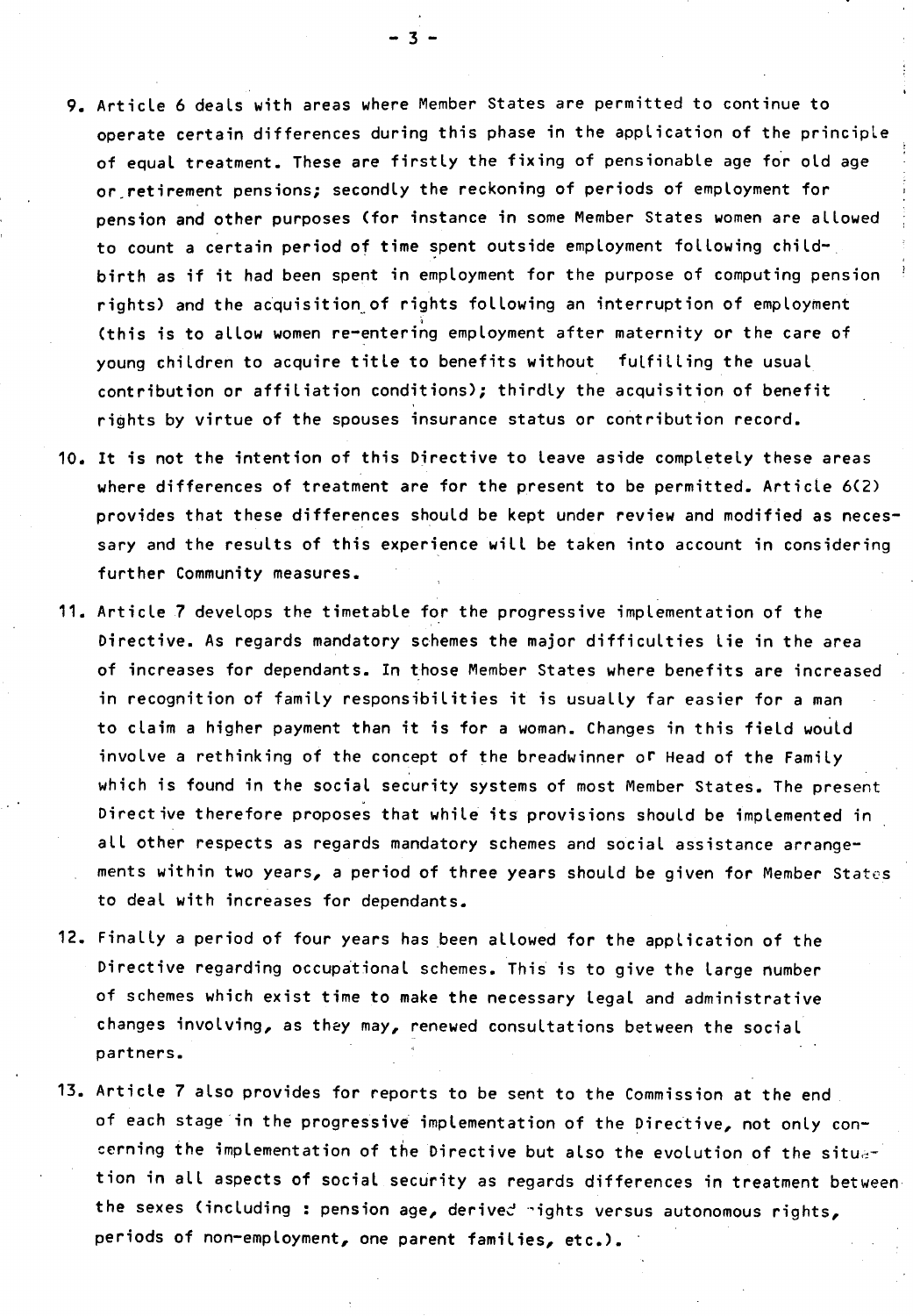- 9 . Article <sup>6</sup> deals with areas where Member States are permitted to continue to operate certain differences during this phase in the application of the principle of equal treatment. These are firstly the fixing of pensionable age for old age or retirement pensions; secondly the reckoning of periods of employment for pension and other purposes ( for instance in some Member States women are allowed to count <sup>a</sup> certain period of time spent outside employment following childbirth as if it had been spent in employment for the purpose of computing pension rights) and the acquisition of rights following an interruption of employment ( this is to allow women re-entering employment after maternity or the care of young children to acquire title to benefits without fulfilling the usual contribution or affiliation conditions); thirdly the acquisition of benefit rights by virtue of the spouses insurance status or contribution record .
- <sup>10</sup> . It is not the intention of this Directive to leave aside completely these areas where differences of treatment are for the present to be permitted. Article 6(2) provides that these differences should be kept under review and modified as necessary and the results of this experience will be taken into account in considering further Community measures .
- <sup>11</sup> . Article <sup>7</sup> develops the timetable for the progressive implementation of the Directive . As regards mandatory schemes the major difficulties lie in the area of increases for dependants. In those Member States where benefits are increased in recognition of family responsibilities it is usually far easier for <sup>a</sup> man to claim a higher payment than it is for a woman. Changes in this field would involve a rethinking of the concept of the breadwinner or Head of the Family which is found in the social security systems of most Member States. The present Directive therefore proposes that while its provisions should be implemented in all other respects as regards mandatory schemes and social assistance arrangements within two years, <sup>a</sup> period of three years should be given for Member States to deal with increases for dependants.
- 12. Finally a period of four years has been allowed for the application of the Directive regarding occupational schemes. This is to give the large number of schemes which exist time to make the necessary legal and administrative changes involving, as they may, renewed consultations between the social partners.
- <sup>13</sup> . Article <sup>7</sup> also provides for reports to be sent to the Commission at the end of each stage in the progressive implementation of the Directive, not only concerning the implementation of the Directive but also the evolution of the situation in all aspects of social security as regards differences in treatment between the sexes (including : pension age, derived nights versus autonomous rights, periods of non-employment, one parent families, etc.).

- <sup>3</sup> -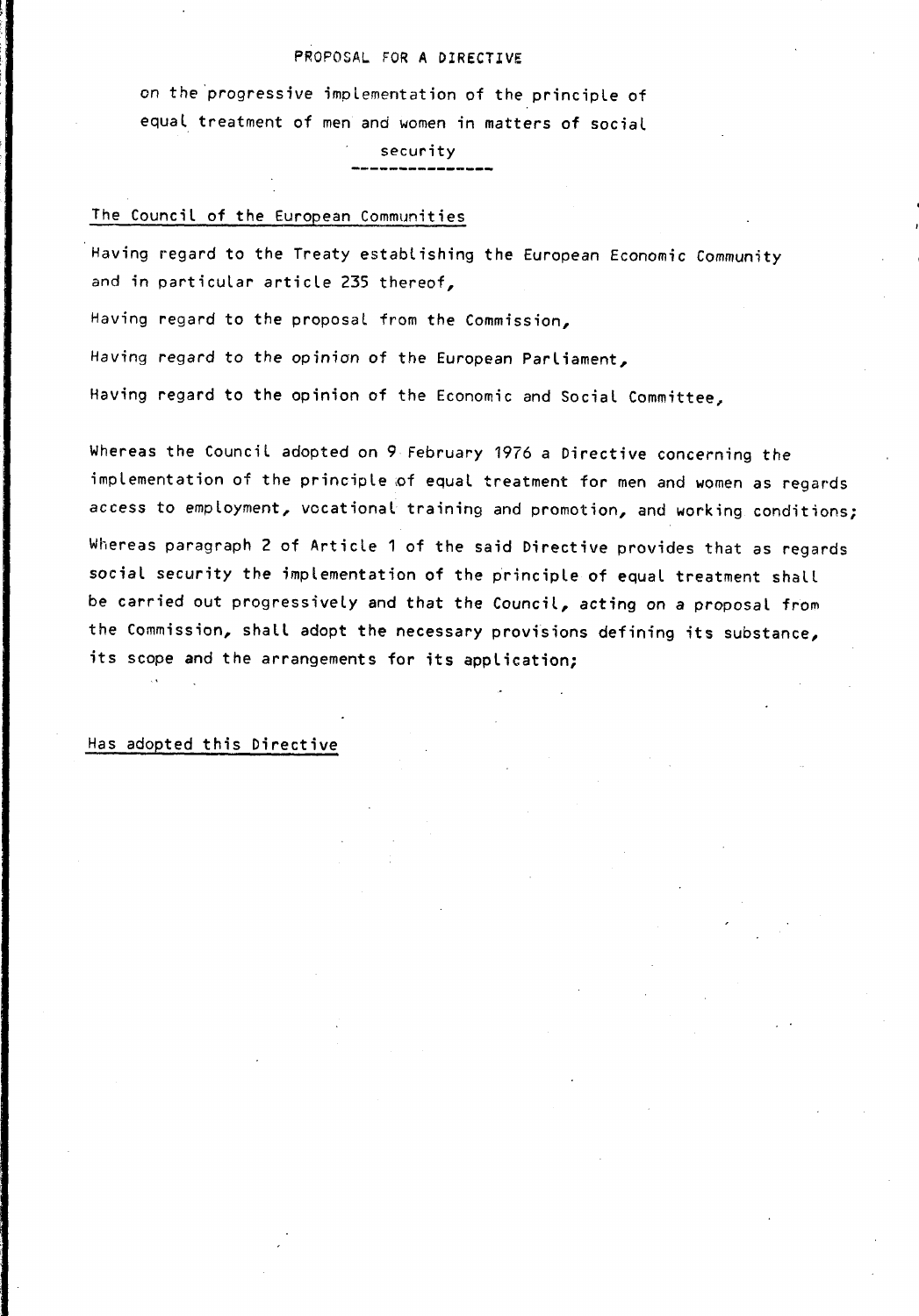#### PROPOSAL FOR A DIRECTIVE

on the progressive implementation of the principle of equal treatment of men and women in matters of social

security

#### The Council of the European Communities

Having regard to the Treaty establishing the European Economic Community and in particular article <sup>235</sup> thereof,

Having regard to the proposal from the Commission,

Having regard to the opinion of the European Parliament,

Having regard to the opinion of the Economic and Social Committee,

Whereas the Council adopted on <sup>9</sup> February 1976 <sup>a</sup> Directive concerning the implementation of the principle of equal treatment for men and women as regards access to employment, vocational training and promotion, and working conditions;

Whereas paragraph <sup>2</sup> of Article <sup>1</sup> of the said Directive provides that as regards social security the implementation of the principle of equal treatment shall be carried out progressively and that the Council, acting on a proposal from the Commission, shall adopt the necessary provisions defining its substance, its scope and the arrangements for its application;

#### Has adopted this Directive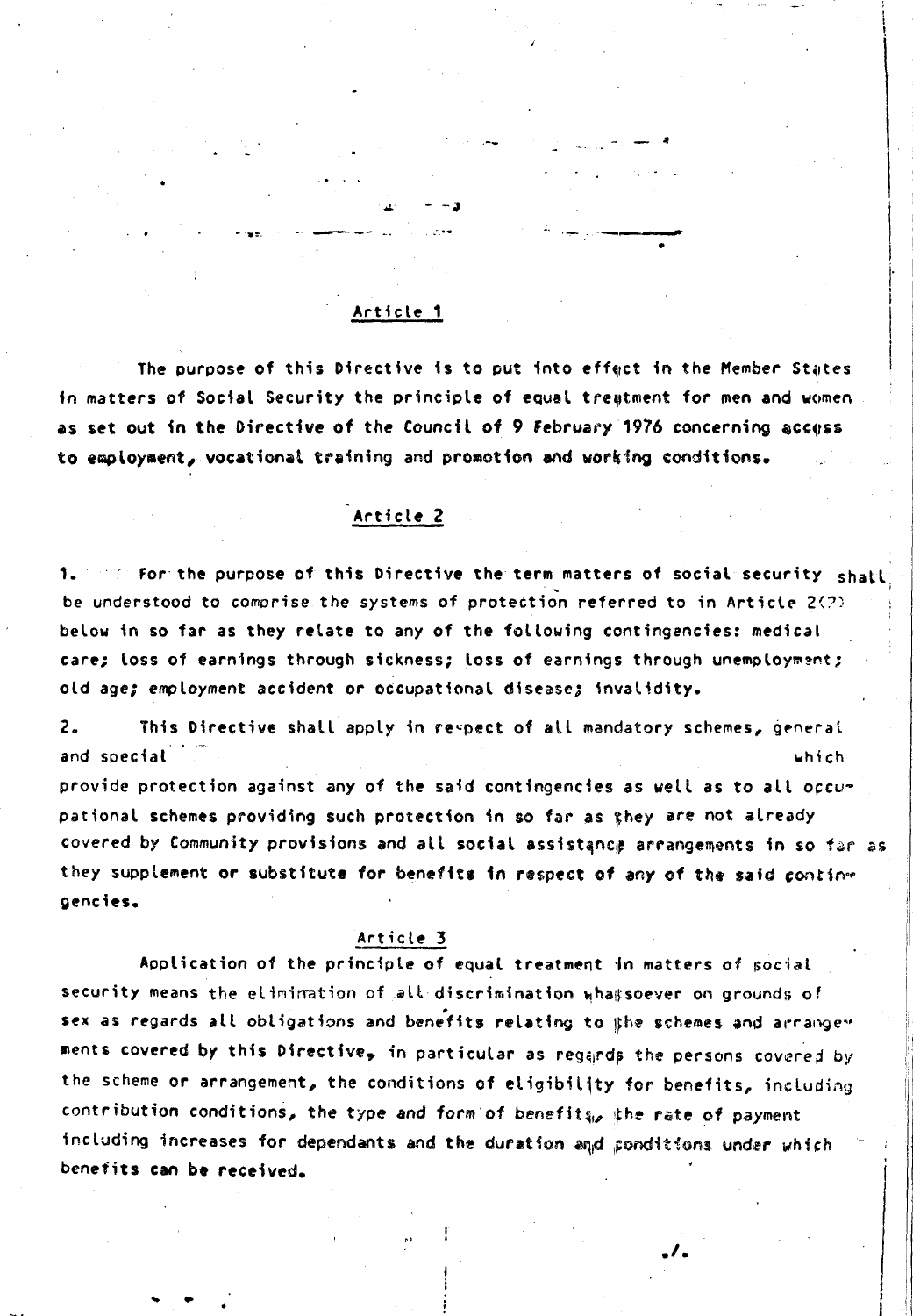#### Article <sup>1</sup>

<1

The purpose of this Directive is to put into effect in the Member States in matters of Social Security the principle of equal treatment for men and women as set out in the Directive of the Council of 9 February 1976 concerning access to employment, vocational training and promotion and working conditions.

#### Article <sup>2</sup>

1. For for the purpose of this Directive the term matters of social security shall be understood to comprise the systems of protection referred to in Article  $2(?)$ below in so far as they relate to any of the following contingencies: medical care; loss of earnings through sickness; loss of earnings through unemployment ; old age; employment accident or occupational disease; invalidity.

2. This Directive shall apply in respect of all mandatory schemes, general and special  $\mathbb{R}^n$  which

provide protection against any of the said contingencies as well as to all occupational schemes providing such protection in so far as they are not already covered by Community provisions and all social assistance arrangements in so far as they supplement or substitute for benefits in respect of any of the said conting oencies.

#### Article 3

Application of the principle of equal treatment In matters of social security means the elimination of all discrimination whas soever on grounds of sex as regards all obligations and benefits relating to the schemes and arrange" ments covered by this Directive, in particular as regards the persons covered by the scheme or arrangement, the conditions of eligibility for benefits, including contribution conditions, the type and form of benefits, the rate of payment including increases for dependants and the duration and ponditions under which benefits can be received.

!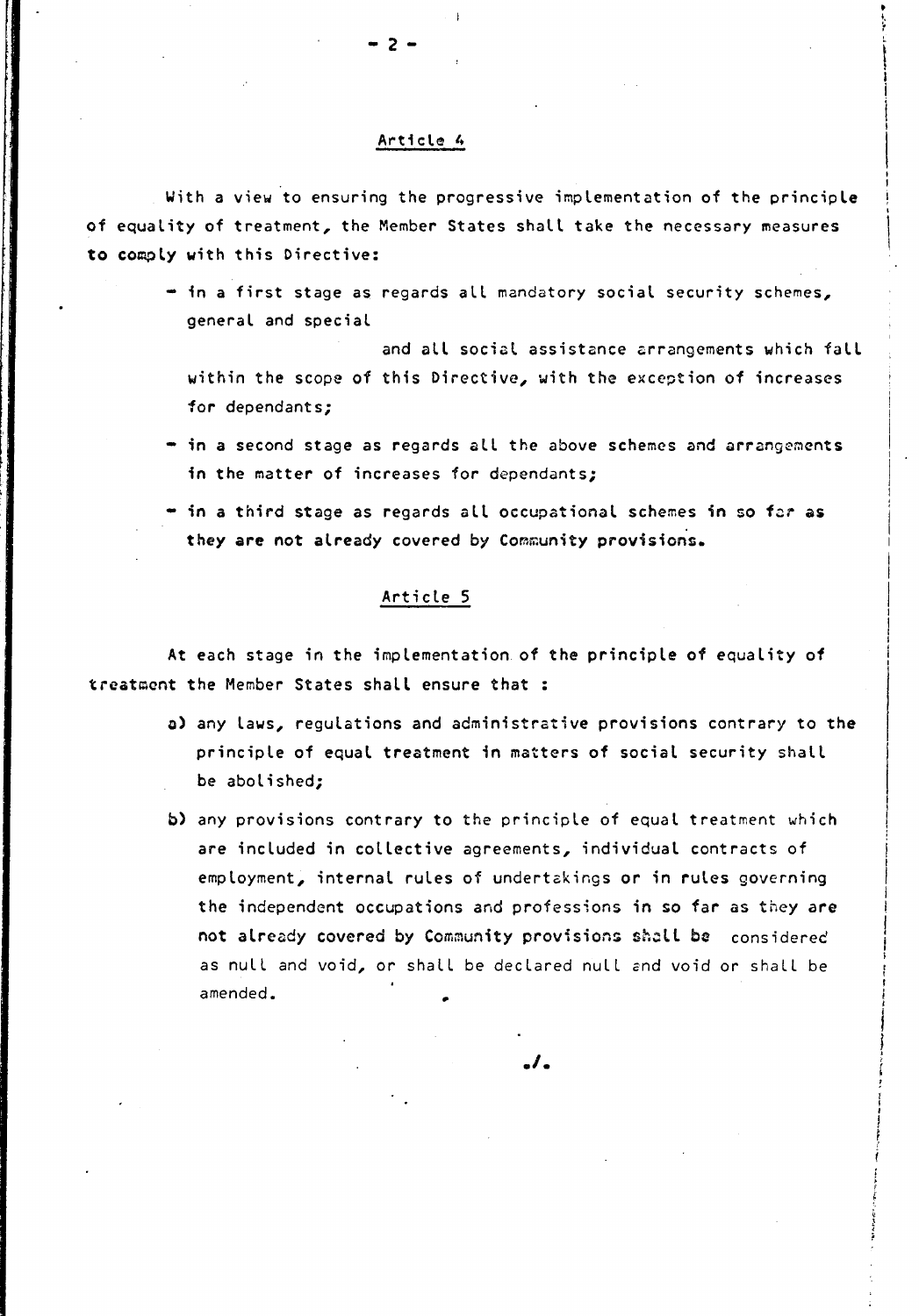#### Artici® <sup>A</sup>

- <sup>2</sup> -

With <sup>a</sup> view to ensuring the progressive implementation of the principle of equality of treatment, the Member States shall take the necessary measures to comply with this Directive:

I

" in a first stage as regards all mandatory social security schemes, general and special

and all social assistance arrangements which fall within the scope of this Directive, with the exception of increases for dependants;

- in <sup>a</sup> second stage as regards all the above schemes and arrangements in the matter of increases for dependants;
- $\cdot$  in a third stage as regards all occupational schemes in so far as they are not already covered by Community provisions.

#### Article <sup>5</sup>

At each stage in the implementation of the principle of equality of treatment the Member States shall ensure that :

- a) any laws, regulations and administrative provisions contrary to the principle of equal treatment in matters of social security shall be abolished;
- b) any provisions contrary to the principle of equal treatment which are included in collective agreements, individual contracts of employment, internal rules of undertakings or in rules governing the independent occupations and professions in so far as they are not already covered by Community provisions shell be considered as null and void, or shall be declared null and void or shall be amended.

 $\overline{\phantom{a}}$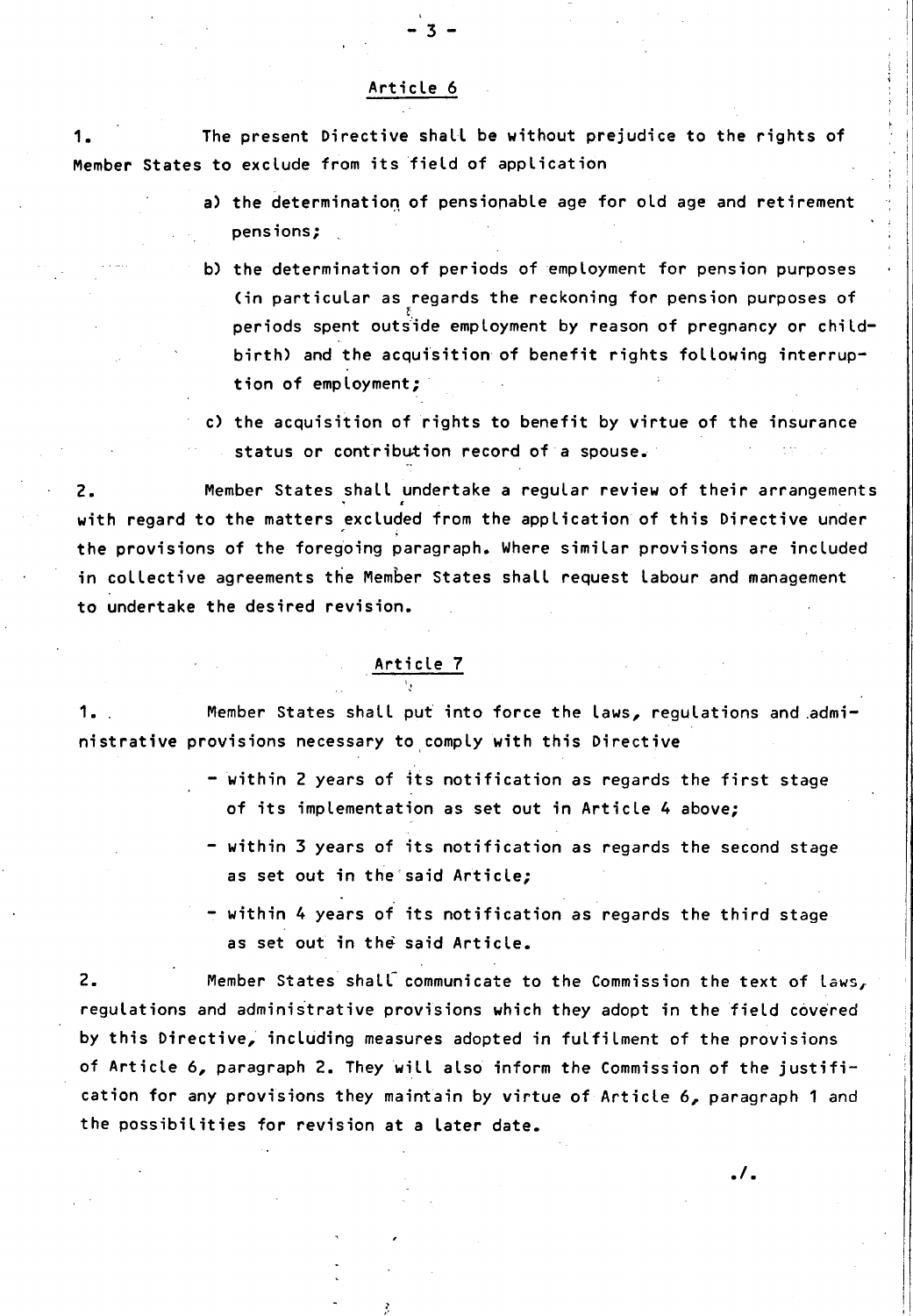#### Article <sup>6</sup>

 $-3 -$ 

1. The present Directive shall be without prejudice to the rights of Member States to exclude from its field of application

- a) the determination of pensionable age for old age and retirement pensions ;
- b) the determination of periods of employment for pension purposes ( in particular as regards the reckoning for pension purposes of periods spent outside employment by reason of pregnancy or childbirth) and the acquisition of benefit rights following interruption of employment ;
- c) the acquisition of rights to benefit by virtue of the insurance status or contribution record of <sup>a</sup> spouse.

2. Member States shall undertake a regular review of their arrangements with regard to the matters excluded from the application of this Directive under the provisions of the foregoing paragraph. Where similar provisions are included in collective agreements the Member States shall request labour and management to undertake the desired revision.

 $\frac{\text{Article 7}}{\frac{1}{2}}$ 

1. . **Member States shall put into force the laws, regulations and admi**nistrative provisions necessary to comply with this Directive

- within <sup>2</sup> years of its notification as regards the first stage of its implementation as set out in Article <sup>4</sup> above;
- within <sup>3</sup> years of its notification as regards the second stage as set out in the said Article;
- within <sup>4</sup> years of its notification as regards the third stage as set out in the said Article.

./.

2. Member States shall communicate to the Commission the text of laws, regulations and administrative provisions which they adopt in the field covered by this Directive, including measures adopted in fulfilment of the provisions of Article 6, paragraph 2. They will also inform the Commission of the justification for any provisions they maintain by virtue of Article 6, paragraph <sup>1</sup> and the possibilities for revision at <sup>a</sup> later date.